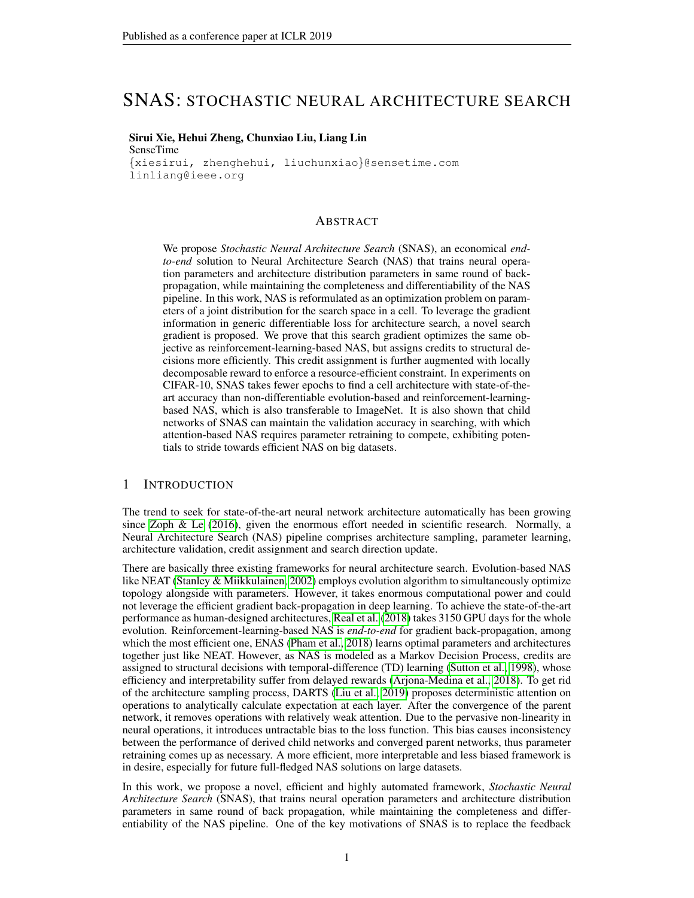# SNAS: STOCHASTIC NEURAL ARCHITECTURE SEARCH

### Sirui Xie, Hehui Zheng, Chunxiao Liu, Liang Lin

SenseTime {xiesirui, zhenghehui, liuchunxiao}@sensetime.com linliang@ieee.org

### ABSTRACT

We propose *Stochastic Neural Architecture Search* (SNAS), an economical *endto-end* solution to Neural Architecture Search (NAS) that trains neural operation parameters and architecture distribution parameters in same round of backpropagation, while maintaining the completeness and differentiability of the NAS pipeline. In this work, NAS is reformulated as an optimization problem on parameters of a joint distribution for the search space in a cell. To leverage the gradient information in generic differentiable loss for architecture search, a novel search gradient is proposed. We prove that this search gradient optimizes the same objective as reinforcement-learning-based NAS, but assigns credits to structural decisions more efficiently. This credit assignment is further augmented with locally decomposable reward to enforce a resource-efficient constraint. In experiments on CIFAR-10, SNAS takes fewer epochs to find a cell architecture with state-of-theart accuracy than non-differentiable evolution-based and reinforcement-learningbased NAS, which is also transferable to ImageNet. It is also shown that child networks of SNAS can maintain the validation accuracy in searching, with which attention-based NAS requires parameter retraining to compete, exhibiting potentials to stride towards efficient NAS on big datasets.

### 1 INTRODUCTION

The trend to seek for state-of-the-art neural network architecture automatically has been growing since [Zoph & Le](#page-10-0) [\(2016\)](#page-10-0), given the enormous effort needed in scientific research. Normally, a Neural Architecture Search (NAS) pipeline comprises architecture sampling, parameter learning, architecture validation, credit assignment and search direction update.

There are basically three existing frameworks for neural architecture search. Evolution-based NAS like NEAT [\(Stanley & Miikkulainen, 2002\)](#page-10-1) employs evolution algorithm to simultaneously optimize topology alongside with parameters. However, it takes enormous computational power and could not leverage the efficient gradient back-propagation in deep learning. To achieve the state-of-the-art performance as human-designed architectures, [Real et al.](#page-10-2) [\(2018\)](#page-10-2) takes 3150 GPU days for the whole evolution. Reinforcement-learning-based NAS is *end-to-end* for gradient back-propagation, among which the most efficient one, ENAS [\(Pham et al., 2018\)](#page-10-3) learns optimal parameters and architectures together just like NEAT. However, as NAS is modeled as a Markov Decision Process, credits are assigned to structural decisions with temporal-difference (TD) learning [\(Sutton et al., 1998\)](#page-10-4), whose efficiency and interpretability suffer from delayed rewards [\(Arjona-Medina et al., 2018\)](#page-9-0). To get rid of the architecture sampling process, DARTS [\(Liu et al., 2019\)](#page-9-1) proposes deterministic attention on operations to analytically calculate expectation at each layer. After the convergence of the parent network, it removes operations with relatively weak attention. Due to the pervasive non-linearity in neural operations, it introduces untractable bias to the loss function. This bias causes inconsistency between the performance of derived child networks and converged parent networks, thus parameter retraining comes up as necessary. A more efficient, more interpretable and less biased framework is in desire, especially for future full-fledged NAS solutions on large datasets.

In this work, we propose a novel, efficient and highly automated framework, *Stochastic Neural Architecture Search* (SNAS), that trains neural operation parameters and architecture distribution parameters in same round of back propagation, while maintaining the completeness and differentiability of the NAS pipeline. One of the key motivations of SNAS is to replace the feedback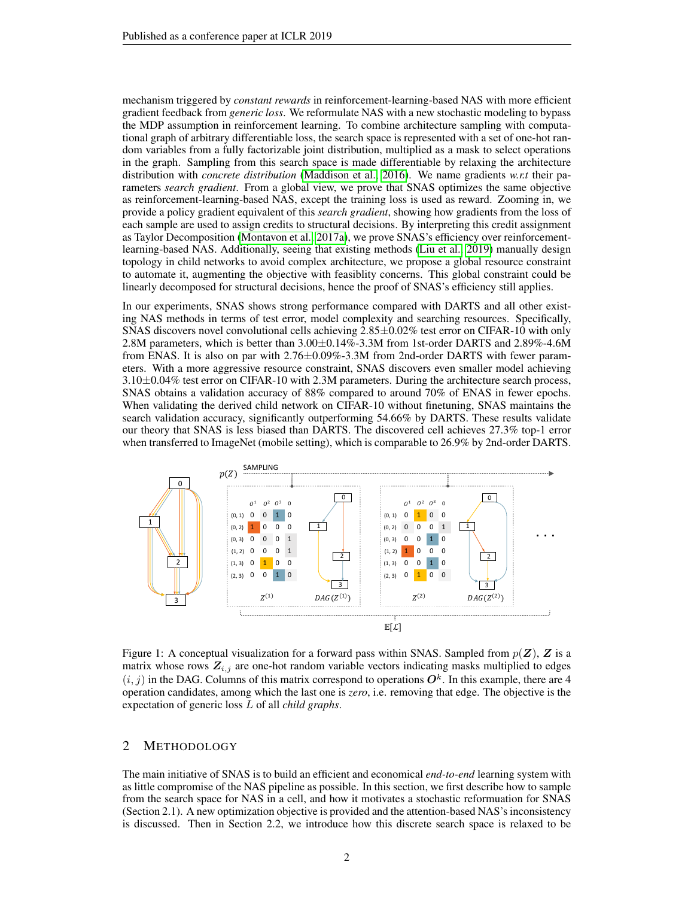mechanism triggered by *constant rewards* in reinforcement-learning-based NAS with more efficient gradient feedback from *generic loss*. We reformulate NAS with a new stochastic modeling to bypass the MDP assumption in reinforcement learning. To combine architecture sampling with computational graph of arbitrary differentiable loss, the search space is represented with a set of one-hot random variables from a fully factorizable joint distribution, multiplied as a mask to select operations in the graph. Sampling from this search space is made differentiable by relaxing the architecture distribution with *concrete distribution* [\(Maddison et al., 2016\)](#page-9-2). We name gradients *w.r.t* their parameters *search gradient*. From a global view, we prove that SNAS optimizes the same objective as reinforcement-learning-based NAS, except the training loss is used as reward. Zooming in, we provide a policy gradient equivalent of this *search gradient*, showing how gradients from the loss of each sample are used to assign credits to structural decisions. By interpreting this credit assignment as Taylor Decomposition [\(Montavon et al., 2017a\)](#page-10-5), we prove SNAS's efficiency over reinforcementlearning-based NAS. Additionally, seeing that existing methods [\(Liu et al., 2019\)](#page-9-1) manually design topology in child networks to avoid complex architecture, we propose a global resource constraint to automate it, augmenting the objective with feasiblity concerns. This global constraint could be linearly decomposed for structural decisions, hence the proof of SNAS's efficiency still applies.

In our experiments, SNAS shows strong performance compared with DARTS and all other existing NAS methods in terms of test error, model complexity and searching resources. Specifically, SNAS discovers novel convolutional cells achieving 2.85±0.02% test error on CIFAR-10 with only 2.8M parameters, which is better than 3.00±0.14%-3.3M from 1st-order DARTS and 2.89%-4.6M from ENAS. It is also on par with 2.76±0.09%-3.3M from 2nd-order DARTS with fewer parameters. With a more aggressive resource constraint, SNAS discovers even smaller model achieving  $3.10\pm0.04\%$  test error on CIFAR-10 with 2.3M parameters. During the architecture search process, SNAS obtains a validation accuracy of 88% compared to around 70% of ENAS in fewer epochs. When validating the derived child network on CIFAR-10 without finetuning, SNAS maintains the search validation accuracy, significantly outperforming 54.66% by DARTS. These results validate our theory that SNAS is less biased than DARTS. The discovered cell achieves 27.3% top-1 error when transferred to ImageNet (mobile setting), which is comparable to 26.9% by 2nd-order DARTS.



<span id="page-1-0"></span>Figure 1: A conceptual visualization for a forward pass within SNAS. Sampled from  $p(Z)$ , Z is a matrix whose rows  $Z_{i,j}$  are one-hot random variable vectors indicating masks multiplied to edges  $(i, j)$  in the DAG. Columns of this matrix correspond to operations  $O<sup>k</sup>$ . In this example, there are 4 operation candidates, among which the last one is *zero*, i.e. removing that edge. The objective is the expectation of generic loss L of all *child graphs*.

### 2 METHODOLOGY

The main initiative of SNAS is to build an efficient and economical *end-to-end* learning system with as little compromise of the NAS pipeline as possible. In this section, we first describe how to sample from the search space for NAS in a cell, and how it motivates a stochastic reformuation for SNAS (Section 2.1). A new optimization objective is provided and the attention-based NAS's inconsistency is discussed. Then in Section 2.2, we introduce how this discrete search space is relaxed to be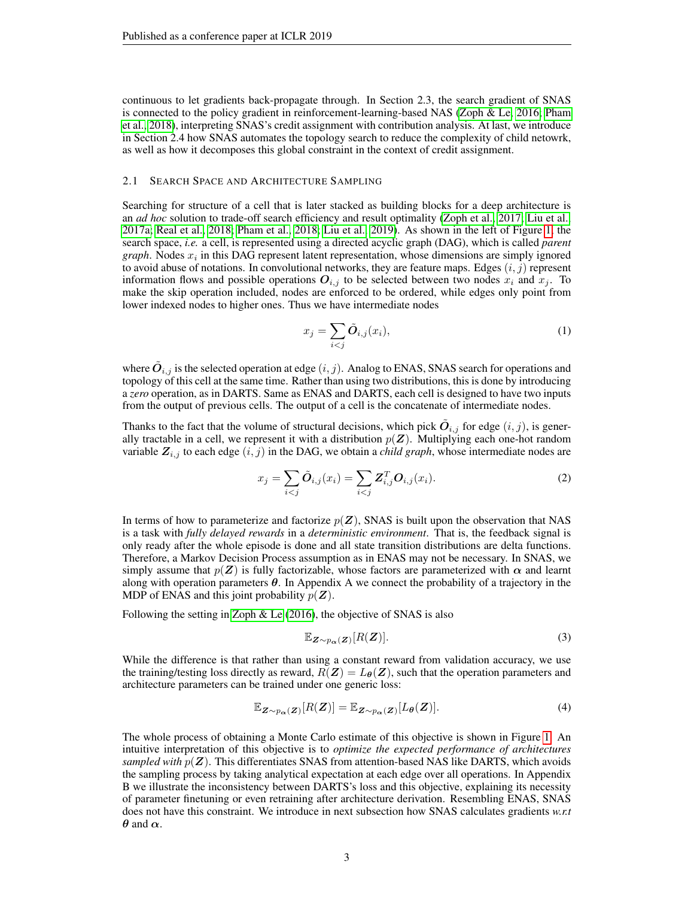continuous to let gradients back-propagate through. In Section 2.3, the search gradient of SNAS is connected to the policy gradient in reinforcement-learning-based NAS [\(Zoph & Le, 2016;](#page-10-0) [Pham](#page-10-3) [et al., 2018\)](#page-10-3), interpreting SNAS's credit assignment with contribution analysis. At last, we introduce in Section 2.4 how SNAS automates the topology search to reduce the complexity of child netowrk, as well as how it decomposes this global constraint in the context of credit assignment.

### 2.1 SEARCH SPACE AND ARCHITECTURE SAMPLING

Searching for structure of a cell that is later stacked as building blocks for a deep architecture is an *ad hoc* solution to trade-off search efficiency and result optimality [\(Zoph et al., 2017;](#page-10-6) [Liu et al.,](#page-9-3) [2017a;](#page-9-3) [Real et al., 2018;](#page-10-2) [Pham et al., 2018;](#page-10-3) [Liu et al., 2019\)](#page-9-1). As shown in the left of Figure [1,](#page-1-0) the search space, *i.e.* a cell, is represented using a directed acyclic graph (DAG), which is called *parent graph*. Nodes  $x_i$  in this DAG represent latent representation, whose dimensions are simply ignored to avoid abuse of notations. In convolutional networks, they are feature maps. Edges  $(i, j)$  represent information flows and possible operations  $O_{i,j}$  to be selected between two nodes  $x_i$  and  $x_j$ . To make the skip operation included, nodes are enforced to be ordered, while edges only point from lower indexed nodes to higher ones. Thus we have intermediate nodes

<span id="page-2-1"></span>
$$
x_j = \sum_{i < j} \tilde{O}_{i,j}(x_i),\tag{1}
$$

where  $\tilde{\bm{O}}_{i,j}$  is the selected operation at edge  $(i,j)$ . Analog to ENAS, SNAS search for operations and topology of this cell at the same time. Rather than using two distributions, this is done by introducing a *zero* operation, as in DARTS. Same as ENAS and DARTS, each cell is designed to have two inputs from the output of previous cells. The output of a cell is the concatenate of intermediate nodes.

Thanks to the fact that the volume of structural decisions, which pick  $\tilde{O}_{i,j}$  for edge  $(i, j)$ , is generally tractable in a cell, we represent it with a distribution  $p(Z)$ . Multiplying each one-hot random variable  $Z_{i,j}$  to each edge  $(i, j)$  in the DAG, we obtain a *child graph*, whose intermediate nodes are

$$
x_j = \sum_{i < j} \tilde{O}_{i,j}(x_i) = \sum_{i < j} Z_{i,j}^T O_{i,j}(x_i). \tag{2}
$$

In terms of how to parameterize and factorize  $p(Z)$ , SNAS is built upon the observation that NAS is a task with *fully delayed rewards* in a *deterministic environment*. That is, the feedback signal is only ready after the whole episode is done and all state transition distributions are delta functions. Therefore, a Markov Decision Process assumption as in ENAS may not be necessary. In SNAS, we simply assume that  $p(Z)$  is fully factorizable, whose factors are parameterized with  $\alpha$  and learnt along with operation parameters  $\theta$ . In Appendix A we connect the probability of a trajectory in the MDP of ENAS and this joint probability  $p(\mathbf{Z})$ .

Following the setting in Zoph  $\&$  Le [\(2016\)](#page-10-0), the objective of SNAS is also

$$
\mathbb{E}_{\mathbf{Z}\sim p_{\alpha}(\mathbf{Z})}[R(\mathbf{Z})].
$$
 (3)

While the difference is that rather than using a constant reward from validation accuracy, we use the training/testing loss directly as reward,  $R(Z) = L_{\theta}(Z)$ , such that the operation parameters and architecture parameters can be trained under one generic loss:

<span id="page-2-0"></span>
$$
\mathbb{E}_{\mathbf{Z} \sim p_{\alpha}(\mathbf{Z})}[R(\mathbf{Z})] = \mathbb{E}_{\mathbf{Z} \sim p_{\alpha}(\mathbf{Z})}[L_{\theta}(\mathbf{Z})]. \tag{4}
$$

The whole process of obtaining a Monte Carlo estimate of this objective is shown in Figure [1.](#page-1-0) An intuitive interpretation of this objective is to *optimize the expected performance of architectures sampled with*  $p(Z)$ . This differentiates SNAS from attention-based NAS like DARTS, which avoids the sampling process by taking analytical expectation at each edge over all operations. In Appendix B we illustrate the inconsistency between DARTS's loss and this objective, explaining its necessity of parameter finetuning or even retraining after architecture derivation. Resembling ENAS, SNAS does not have this constraint. We introduce in next subsection how SNAS calculates gradients *w.r.t*  $\theta$  and  $\alpha$ .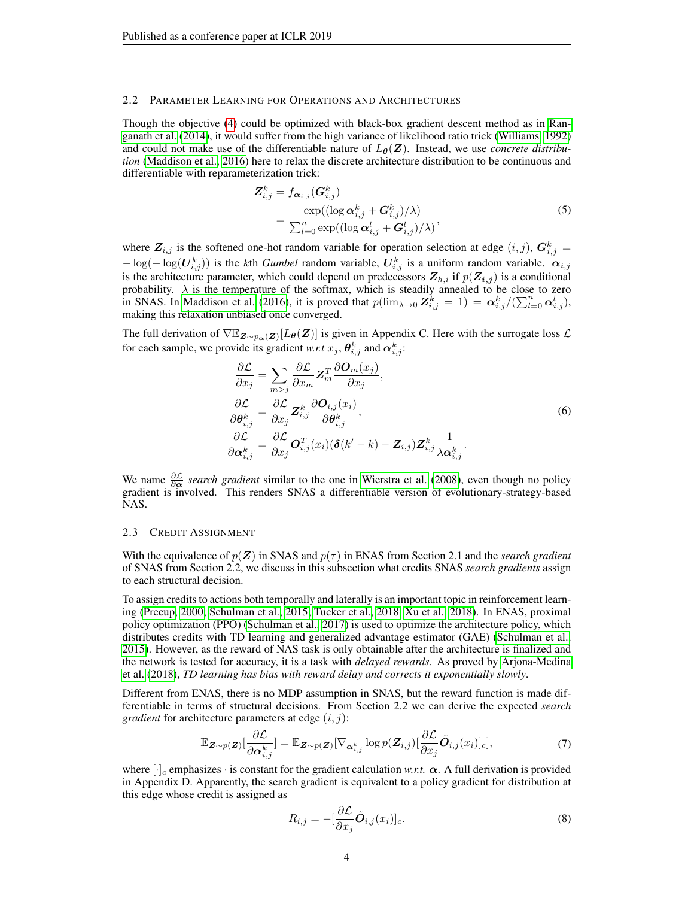#### 2.2 PARAMETER LEARNING FOR OPERATIONS AND ARCHITECTURES

Though the objective [\(4\)](#page-2-0) could be optimized with black-box gradient descent method as in [Ran](#page-10-7)[ganath et al.](#page-10-7) [\(2014\)](#page-10-7), it would suffer from the high variance of likelihood ratio trick [\(Williams, 1992\)](#page-10-8) and could not make use of the differentiable nature of  $L_{\theta}(Z)$ . Instead, we use *concrete distribution* [\(Maddison et al., 2016\)](#page-9-2) here to relax the discrete architecture distribution to be continuous and differentiable with reparameterization trick:

$$
Z_{i,j}^k = f_{\boldsymbol{\alpha}_{i,j}}(\boldsymbol{G}_{i,j}^k)
$$
  
= 
$$
\frac{\exp((\log \boldsymbol{\alpha}_{i,j}^k + \boldsymbol{G}_{i,j}^k)/\lambda)}{\sum_{l=0}^n \exp((\log \boldsymbol{\alpha}_{i,j}^l + \boldsymbol{G}_{i,j}^l)/\lambda)},
$$
 (5)

where  $\mathbf{Z}_{i,j}$  is the softened one-hot random variable for operation selection at edge  $(i, j)$ ,  $\mathbf{G}_{i,j}^{k} =$  $-\log(-\log(U_{i,j}^k))$  is the kth *Gumbel* random variable,  $U_{i,j}^k$  is a uniform random variable.  $\alpha_{i,j}$ is the architecture parameter, which could depend on predecessors  $Z_{h,i}$  if  $p(Z_{i,j})$  is a conditional probability.  $\lambda$  is the temperature of the softmax, which is steadily annealed to be close to zero in SNAS. In [Maddison et al.](#page-9-2) [\(2016\)](#page-9-2), it is proved that  $p(\lim_{\lambda\to 0} \mathbf{Z}_{i,j}^k = 1) = \alpha_{i,j}^k/(\sum_{l=0}^n \alpha_{i,j}^l)$ , making this relaxation unbiased once converged.

The full derivation of  $\nabla \mathbb{E}_{\mathbf{Z}\sim p_{\alpha}(\mathbf{Z})}[L_{\theta}(\mathbf{Z})]$  is given in Appendix C. Here with the surrogate loss  $\mathcal{L}$ for each sample, we provide its gradient *w.r.t*  $x_j$ ,  $\theta_{i,j}^k$  and  $\alpha_{i,j}^k$ :

$$
\frac{\partial \mathcal{L}}{\partial x_j} = \sum_{m>j} \frac{\partial \mathcal{L}}{\partial x_m} \mathbf{Z}_m^T \frac{\partial \mathbf{O}_m(x_j)}{\partial x_j},
$$
\n
$$
\frac{\partial \mathcal{L}}{\partial \boldsymbol{\theta}_{i,j}^k} = \frac{\partial \mathcal{L}}{\partial x_j} \mathbf{Z}_{i,j}^k \frac{\partial \mathbf{O}_{i,j}(x_i)}{\partial \boldsymbol{\theta}_{i,j}^k},
$$
\n
$$
\frac{\partial \mathcal{L}}{\partial \mathbf{\alpha}_{i,j}^k} = \frac{\partial \mathcal{L}}{\partial x_j} \mathbf{O}_{i,j}^T(x_i) (\boldsymbol{\delta}(k'-k) - \mathbf{Z}_{i,j}) \mathbf{Z}_{i,j}^k \frac{1}{\lambda \mathbf{\alpha}_{i,j}^k}.
$$
\n(6)

We name  $\frac{\partial \mathcal{L}}{\partial \alpha}$  *search gradient* similar to the one in [Wierstra et al.](#page-10-9) [\(2008\)](#page-10-9), even though no policy gradient is involved. This renders SNAS a differentiable version of evolutionary-strategy-based NAS.

#### 2.3 CREDIT ASSIGNMENT

With the equivalence of  $p(\mathbf{Z})$  in SNAS and  $p(\tau)$  in ENAS from Section 2.1 and the *search gradient* of SNAS from Section 2.2, we discuss in this subsection what credits SNAS *search gradients* assign to each structural decision.

To assign credits to actions both temporally and laterally is an important topic in reinforcement learning [\(Precup, 2000;](#page-10-10) [Schulman et al., 2015;](#page-10-11) [Tucker et al., 2018;](#page-10-12) [Xu et al., 2018\)](#page-10-13). In ENAS, proximal policy optimization (PPO) [\(Schulman et al., 2017\)](#page-10-14) is used to optimize the architecture policy, which distributes credits with TD learning and generalized advantage estimator (GAE) [\(Schulman et al.,](#page-10-11) [2015\)](#page-10-11). However, as the reward of NAS task is only obtainable after the architecture is finalized and the network is tested for accuracy, it is a task with *delayed rewards*. As proved by [Arjona-Medina](#page-9-0) [et al.](#page-9-0) [\(2018\)](#page-9-0), *TD learning has bias with reward delay and corrects it exponentially slowly*.

Different from ENAS, there is no MDP assumption in SNAS, but the reward function is made differentiable in terms of structural decisions. From Section 2.2 we can derive the expected *search gradient* for architecture parameters at edge  $(i, j)$ :

$$
\mathbb{E}_{\mathbf{Z} \sim p(\mathbf{Z})}[\frac{\partial \mathcal{L}}{\partial \mathbf{\alpha}_{i,j}^k}] = \mathbb{E}_{\mathbf{Z} \sim p(\mathbf{Z})}[\nabla_{\mathbf{\alpha}_{i,j}^k} \log p(\mathbf{Z}_{i,j})[\frac{\partial \mathcal{L}}{\partial x_j} \tilde{\mathbf{O}}_{i,j}(x_i)]_c],\tag{7}
$$

where  $[\cdot]_c$  emphasizes  $\cdot$  is constant for the gradient calculation *w.r.t.*  $\alpha$ . A full derivation is provided in Appendix D. Apparently, the search gradient is equivalent to a policy gradient for distribution at this edge whose credit is assigned as

<span id="page-3-0"></span>
$$
R_{i,j} = -\left[\frac{\partial \mathcal{L}}{\partial x_j} \tilde{\mathbf{O}}_{i,j}(x_i)\right]_c.
$$
\n(8)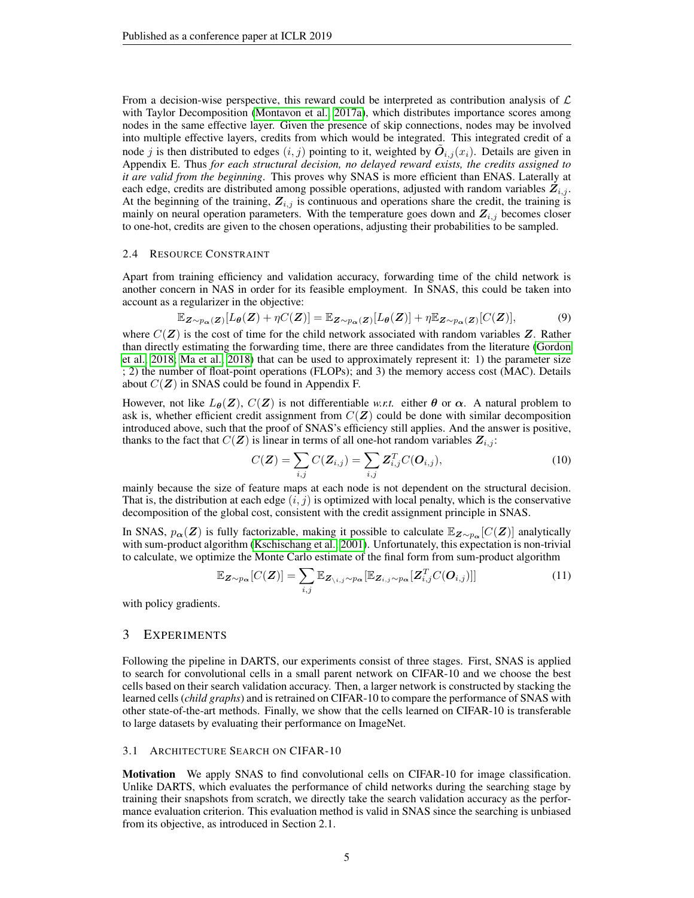From a decision-wise perspective, this reward could be interpreted as contribution analysis of  $\mathcal L$ with Taylor Decomposition [\(Montavon et al., 2017a\)](#page-10-5), which distributes importance scores among nodes in the same effective layer. Given the presence of skip connections, nodes may be involved into multiple effective layers, credits from which would be integrated. This integrated credit of a node j is then distributed to edges  $(i, j)$  pointing to it, weighted by  $\tilde{O}_{i,j}(x_i)$ . Details are given in Appendix E. Thus *for each structural decision, no delayed reward exists, the credits assigned to it are valid from the beginning*. This proves why SNAS is more efficient than ENAS. Laterally at each edge, credits are distributed among possible operations, adjusted with random variables  $Z_{i,j}$ . At the beginning of the training,  $Z_{i,j}$  is continuous and operations share the credit, the training is mainly on neural operation parameters. With the temperature goes down and  $Z_{i,j}$  becomes closer to one-hot, credits are given to the chosen operations, adjusting their probabilities to be sampled.

### 2.4 RESOURCE CONSTRAINT

Apart from training efficiency and validation accuracy, forwarding time of the child network is another concern in NAS in order for its feasible employment. In SNAS, this could be taken into account as a regularizer in the objective:

$$
\mathbb{E}_{\mathbf{Z}\sim p_{\alpha}(\mathbf{Z})}[L_{\theta}(\mathbf{Z}) + \eta C(\mathbf{Z})] = \mathbb{E}_{\mathbf{Z}\sim p_{\alpha}(\mathbf{Z})}[L_{\theta}(\mathbf{Z})] + \eta \mathbb{E}_{\mathbf{Z}\sim p_{\alpha}(\mathbf{Z})}[C(\mathbf{Z})],
$$
(9)

where  $C(Z)$  is the cost of time for the child network associated with random variables Z. Rather than directly estimating the forwarding time, there are three candidates from the literature [\(Gordon](#page-9-4) [et al., 2018;](#page-9-4) [Ma et al., 2018\)](#page-9-5) that can be used to approximately represent it: 1) the parameter size ; 2) the number of float-point operations (FLOPs); and 3) the memory access cost (MAC). Details about  $C(\mathbf{Z})$  in SNAS could be found in Appendix F.

However, not like  $L_{\theta}(Z)$ ,  $C(Z)$  is not differentiable *w.r.t.* either  $\theta$  or  $\alpha$ . A natural problem to ask is, whether efficient credit assignment from  $C(Z)$  could be done with similar decomposition introduced above, such that the proof of SNAS's efficiency still applies. And the answer is positive, thanks to the fact that  $C(Z)$  is linear in terms of all one-hot random variables  $Z_{i,j}$ :

$$
C(\mathbf{Z}) = \sum_{i,j} C(\mathbf{Z}_{i,j}) = \sum_{i,j} \mathbf{Z}_{i,j}^T C(\mathbf{O}_{i,j}),
$$
(10)

mainly because the size of feature maps at each node is not dependent on the structural decision. That is, the distribution at each edge  $(i, j)$  is optimized with local penalty, which is the conservative decomposition of the global cost, consistent with the credit assignment principle in SNAS.

In SNAS,  $p_{\alpha}(Z)$  is fully factorizable, making it possible to calculate  $\mathbb{E}_{Z\sim p_{\alpha}}[C(Z)]$  analytically with sum-product algorithm [\(Kschischang et al., 2001\)](#page-9-6). Unfortunately, this expectation is non-trivial to calculate, we optimize the Monte Carlo estimate of the final form from sum-product algorithm

$$
\mathbb{E}_{\mathbf{Z}\sim p_{\alpha}}[C(\mathbf{Z})]=\sum_{i,j}\mathbb{E}_{\mathbf{Z}_{\backslash i,j}\sim p_{\alpha}}[\mathbb{E}_{\mathbf{Z}_{i,j}\sim p_{\alpha}}[\mathbf{Z}_{i,j}^T C(\mathbf{O}_{i,j})]]
$$
(11)

with policy gradients.

### 3 EXPERIMENTS

Following the pipeline in DARTS, our experiments consist of three stages. First, SNAS is applied to search for convolutional cells in a small parent network on CIFAR-10 and we choose the best cells based on their search validation accuracy. Then, a larger network is constructed by stacking the learned cells (*child graphs*) and is retrained on CIFAR-10 to compare the performance of SNAS with other state-of-the-art methods. Finally, we show that the cells learned on CIFAR-10 is transferable to large datasets by evaluating their performance on ImageNet.

#### 3.1 ARCHITECTURE SEARCH ON CIFAR-10

Motivation We apply SNAS to find convolutional cells on CIFAR-10 for image classification. Unlike DARTS, which evaluates the performance of child networks during the searching stage by training their snapshots from scratch, we directly take the search validation accuracy as the performance evaluation criterion. This evaluation method is valid in SNAS since the searching is unbiased from its objective, as introduced in Section 2.1.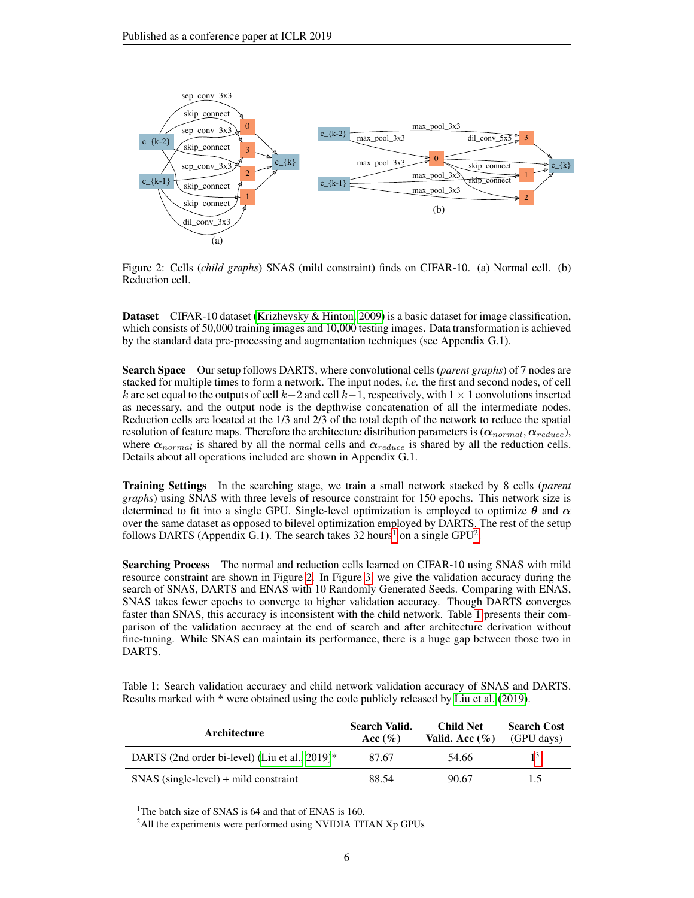

<span id="page-5-2"></span>Figure 2: Cells (*child graphs*) SNAS (mild constraint) finds on CIFAR-10. (a) Normal cell. (b) Reduction cell.

Dataset CIFAR-10 dataset [\(Krizhevsky & Hinton, 2009\)](#page-9-7) is a basic dataset for image classification, which consists of 50,000 training images and 10,000 testing images. Data transformation is achieved by the standard data pre-processing and augmentation techniques (see Appendix G.1).

Search Space Our setup follows DARTS, where convolutional cells (*parent graphs*) of 7 nodes are stacked for multiple times to form a network. The input nodes, *i.e.* the first and second nodes, of cell k are set equal to the outputs of cell k−2 and cell k−1, respectively, with  $1 \times 1$  convolutions inserted as necessary, and the output node is the depthwise concatenation of all the intermediate nodes. Reduction cells are located at the 1/3 and 2/3 of the total depth of the network to reduce the spatial resolution of feature maps. Therefore the architecture distribution parameters is  $(\alpha_{normal}, \alpha_{reduce}),$ where  $\alpha_{normal}$  is shared by all the normal cells and  $\alpha_{reduce}$  is shared by all the reduction cells. Details about all operations included are shown in Appendix G.1.

Training Settings In the searching stage, we train a small network stacked by 8 cells (*parent graphs*) using SNAS with three levels of resource constraint for 150 epochs. This network size is determined to fit into a single GPU. Single-level optimization is employed to optimize  $\theta$  and  $\alpha$ over the same dataset as opposed to bilevel optimization employed by DARTS. The rest of the setup follows DARTS (Appendix G.[1](#page-5-0)). The search takes 3[2](#page-5-1) hours<sup>1</sup> on a single GPU<sup>2</sup>.

Searching Process The normal and reduction cells learned on CIFAR-10 using SNAS with mild resource constraint are shown in Figure [2.](#page-5-2) In Figure [3,](#page-6-0) we give the validation accuracy during the search of SNAS, DARTS and ENAS with 10 Randomly Generated Seeds. Comparing with ENAS, SNAS takes fewer epochs to converge to higher validation accuracy. Though DARTS converges faster than SNAS, this accuracy is inconsistent with the child network. Table [1](#page-5-3) presents their comparison of the validation accuracy at the end of search and after architecture derivation without fine-tuning. While SNAS can maintain its performance, there is a huge gap between those two in DARTS.

<span id="page-5-3"></span>Table 1: Search validation accuracy and child network validation accuracy of SNAS and DARTS. Results marked with \* were obtained using the code publicly released by [Liu et al.](#page-9-1) [\(2019\)](#page-9-1).

| Architecture                                      | Search Valid.<br>Acc $(\%)$ | Child Net<br>Valid. Acc $(\%)$ | <b>Search Cost</b><br>(GPU days) |
|---------------------------------------------------|-----------------------------|--------------------------------|----------------------------------|
| DARTS (2nd order bi-level) (Liu et al., $2019$ )* | 87.67                       | 54.66                          |                                  |
| $SNAS$ (single-level) + mild constraint           | 88.54                       | 90.67                          | 1.5                              |

<span id="page-5-0"></span><sup>1</sup>The batch size of SNAS is 64 and that of ENAS is 160.

<span id="page-5-1"></span><sup>2</sup>All the experiments were performed using NVIDIA TITAN Xp GPUs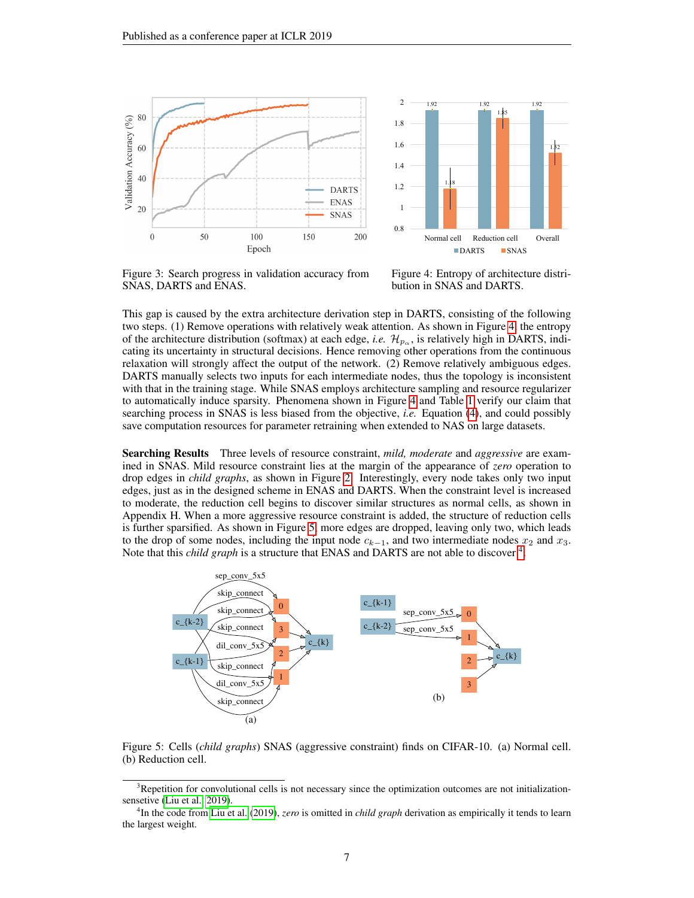

<span id="page-6-0"></span>Figure 3: Search progress in validation accuracy from SNAS, DARTS and ENAS.

<span id="page-6-2"></span>Figure 4: Entropy of architecture distribution in SNAS and DARTS.

This gap is caused by the extra architecture derivation step in DARTS, consisting of the following two steps. (1) Remove operations with relatively weak attention. As shown in Figure [4,](#page-6-2) the entropy of the architecture distribution (softmax) at each edge, *i.e.*  $\mathcal{H}_{p_{\alpha}}$ , is relatively high in DARTS, indicating its uncertainty in structural decisions. Hence removing other operations from the continuous relaxation will strongly affect the output of the network. (2) Remove relatively ambiguous edges. DARTS manually selects two inputs for each intermediate nodes, thus the topology is inconsistent with that in the training stage. While SNAS employs architecture sampling and resource regularizer to automatically induce sparsity. Phenomena shown in Figure [4](#page-6-2) and Table [1](#page-5-3) verify our claim that searching process in SNAS is less biased from the objective, *i.e.* Equation [\(4\)](#page-2-0), and could possibly save computation resources for parameter retraining when extended to NAS on large datasets.

Searching Results Three levels of resource constraint, *mild, moderate* and *aggressive* are examined in SNAS. Mild resource constraint lies at the margin of the appearance of *zero* operation to drop edges in *child graphs*, as shown in Figure [2.](#page-5-2) Interestingly, every node takes only two input edges, just as in the designed scheme in ENAS and DARTS. When the constraint level is increased to moderate, the reduction cell begins to discover similar structures as normal cells, as shown in Appendix H. When a more aggressive resource constraint is added, the structure of reduction cells is further sparsified. As shown in Figure [5,](#page-6-3) more edges are dropped, leaving only two, which leads to the drop of some nodes, including the input node  $c_{k-1}$ , and two intermediate nodes  $x_2$  and  $x_3$ . Note that this *child graph* is a structure that ENAS and DARTS are not able to discover <sup>[4](#page-6-4)</sup>.



<span id="page-6-3"></span>Figure 5: Cells (*child graphs*) SNAS (aggressive constraint) finds on CIFAR-10. (a) Normal cell. (b) Reduction cell.

<span id="page-6-1"></span><sup>&</sup>lt;sup>3</sup>Repetition for convolutional cells is not necessary since the optimization outcomes are not initializationsensetive [\(Liu et al., 2019\)](#page-9-1).

<span id="page-6-4"></span><sup>4</sup> In the code from [Liu et al.](#page-9-1) [\(2019\)](#page-9-1), *zero* is omitted in *child graph* derivation as empirically it tends to learn the largest weight.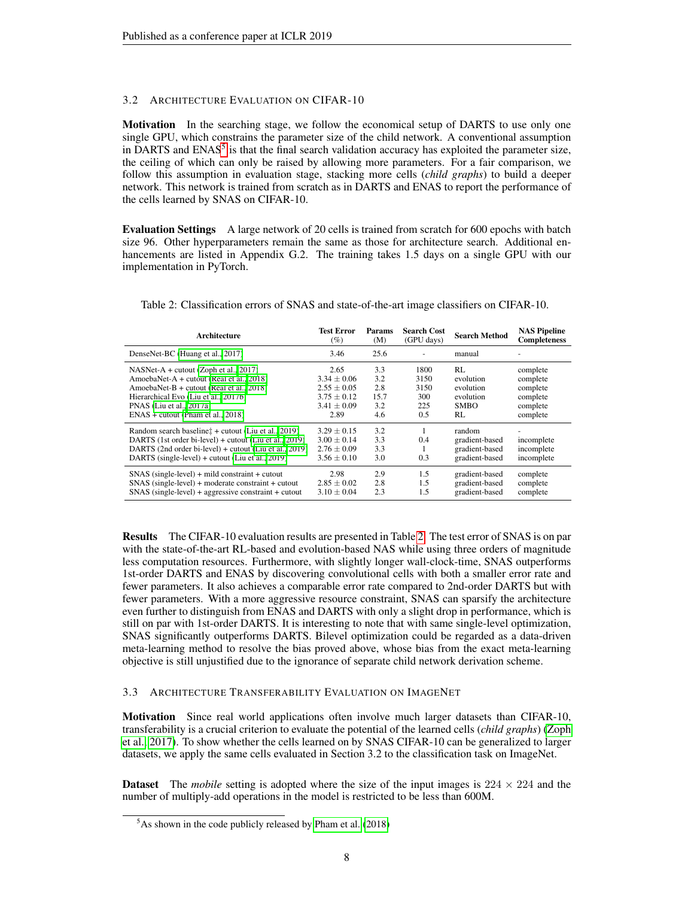### 3.2 ARCHITECTURE EVALUATION ON CIFAR-10

Motivation In the searching stage, we follow the economical setup of DARTS to use only one single GPU, which constrains the parameter size of the child network. A conventional assumption in DARTS and ENAS<sup>[5](#page-7-0)</sup> is that the final search validation accuracy has exploited the parameter size, the ceiling of which can only be raised by allowing more parameters. For a fair comparison, we follow this assumption in evaluation stage, stacking more cells (*child graphs*) to build a deeper network. This network is trained from scratch as in DARTS and ENAS to report the performance of the cells learned by SNAS on CIFAR-10.

Evaluation Settings A large network of 20 cells is trained from scratch for 600 epochs with batch size 96. Other hyperparameters remain the same as those for architecture search. Additional enhancements are listed in Appendix G.2. The training takes 1.5 days on a single GPU with our implementation in PyTorch.

| Architecture                                           | <b>Test Error</b><br>(%) | Params<br>(M) | <b>Search Cost</b><br>(GPU days) | <b>Search Method</b> | <b>NAS Pipeline</b><br><b>Completeness</b> |
|--------------------------------------------------------|--------------------------|---------------|----------------------------------|----------------------|--------------------------------------------|
| DenseNet-BC (Huang et al., 2017)                       | 3.46                     | 25.6          |                                  | manual               |                                            |
| $NASNet-A + cutout (Zoph et al., 2017)$                | 2.65                     | 3.3           | 1800                             | RL                   | complete                                   |
| AmoebaNet-A + cutout (Real et al., 2018)               | $3.34 \pm 0.06$          | 3.2           | 3150                             | evolution            | complete                                   |
| AmoebaNet-B + cutout (Real et al., 2018)               | $2.55 \pm 0.05$          | 2.8           | 3150                             | evolution            | complete                                   |
| Hierarchical Evo (Liu et al., 2017b)                   | $3.75 \pm 0.12$          | 15.7          | 300                              | evolution            | complete                                   |
| PNAS (Liu et al., 2017a)                               | $3.41 \pm 0.09$          | 3.2           | 225                              | <b>SMBO</b>          | complete                                   |
| $ENAS + cutout (Pham et al., 2018)$                    | 2.89                     | 4.6           | 0.5                              | RL                   | complete                                   |
| Random search baselinet + cutout (Liu et al., 2019)    | $3.29 \pm 0.15$          | 3.2           |                                  | random               |                                            |
| DARTS (1st order bi-level) + cutout (Liu et al., 2019) | $3.00 \pm 0.14$          | 3.3           | 0.4                              | gradient-based       | incomplete                                 |
| DARTS (2nd order bi-level) + cutout (Liu et al., 2019) | $2.76 \pm 0.09$          | 3.3           |                                  | gradient-based       | incomplete                                 |
| DARTS (single-level) + cutout (Liu et al., 2019)       | $3.56 \pm 0.10$          | 3.0           | 0.3                              | gradient-based       | incomplete                                 |
| $SNAS$ (single-level) + mild constraint + cutout       | 2.98                     | 2.9           | 1.5                              | gradient-based       | complete                                   |
| $SNAS$ (single-level) + moderate constraint + cutout   | $2.85 \pm 0.02$          | 2.8           | 1.5                              | gradient-based       | complete                                   |
| $SNAS$ (single-level) + aggressive constraint + cutout | $3.10 \pm 0.04$          | 2.3           | 1.5                              | gradient-based       | complete                                   |

<span id="page-7-1"></span>Table 2: Classification errors of SNAS and state-of-the-art image classifiers on CIFAR-10.

Results The CIFAR-10 evaluation results are presented in Table [2.](#page-7-1) The test error of SNAS is on par with the state-of-the-art RL-based and evolution-based NAS while using three orders of magnitude less computation resources. Furthermore, with slightly longer wall-clock-time, SNAS outperforms 1st-order DARTS and ENAS by discovering convolutional cells with both a smaller error rate and fewer parameters. It also achieves a comparable error rate compared to 2nd-order DARTS but with fewer parameters. With a more aggressive resource constraint, SNAS can sparsify the architecture even further to distinguish from ENAS and DARTS with only a slight drop in performance, which is still on par with 1st-order DARTS. It is interesting to note that with same single-level optimization, SNAS significantly outperforms DARTS. Bilevel optimization could be regarded as a data-driven meta-learning method to resolve the bias proved above, whose bias from the exact meta-learning objective is still unjustified due to the ignorance of separate child network derivation scheme.

### 3.3 ARCHITECTURE TRANSFERABILITY EVALUATION ON IMAGENET

Motivation Since real world applications often involve much larger datasets than CIFAR-10, transferability is a crucial criterion to evaluate the potential of the learned cells (*child graphs*) [\(Zoph](#page-10-6) [et al., 2017\)](#page-10-6). To show whether the cells learned on by SNAS CIFAR-10 can be generalized to larger datasets, we apply the same cells evaluated in Section 3.2 to the classification task on ImageNet.

**Dataset** The *mobile* setting is adopted where the size of the input images is  $224 \times 224$  and the number of multiply-add operations in the model is restricted to be less than 600M.

<span id="page-7-0"></span> $5$ As shown in the code publicly released by [Pham et al.](#page-10-3) [\(2018\)](#page-10-3)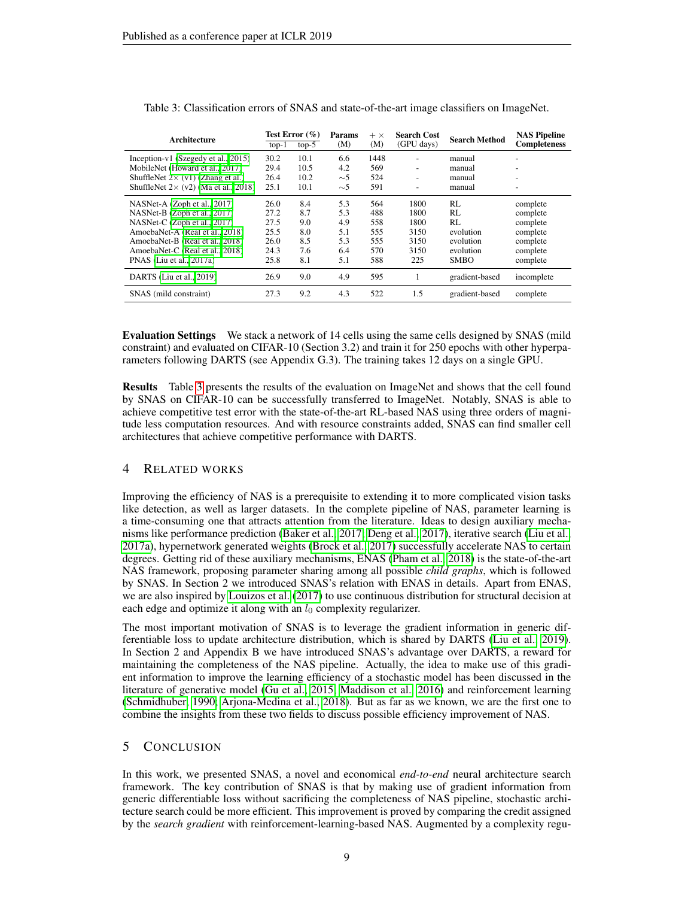| Architecture                                 | $top-1$ | Test Error $(\%)$<br>$top-5$ | Params<br>(M) | $+ \times$<br>(M) | <b>Search Cost</b><br>(GPU days) | <b>Search Method</b> | <b>NAS Pipeline</b><br><b>Completeness</b> |
|----------------------------------------------|---------|------------------------------|---------------|-------------------|----------------------------------|----------------------|--------------------------------------------|
| Inception- $v1$ (Szegedy et al., 2015)       | 30.2    | 10.1                         | 6.6           | 1448              | ۰                                | manual               | ٠                                          |
| MobileNet (Howard et al., 2017)              | 29.4    | 10.5                         | 4.2           | 569               | $\overline{\phantom{a}}$         | manual               | $\overline{\phantom{0}}$                   |
| ShuffleNet $2 \times (v1)$ (Zhang et al.)    | 26.4    | 10.2                         | $\sim$ 5      | 524               | ۰                                | manual               | $\overline{\phantom{0}}$                   |
| ShuffleNet $2 \times (v2)$ (Ma et al., 2018) | 25.1    | 10.1                         | $\sim$ 5      | 591               |                                  | manual               | ٠                                          |
| NASNet-A (Zoph et al., 2017)                 | 26.0    | 8.4                          | 5.3           | 564               | 1800                             | RL                   | complete                                   |
| NASNet-B (Zoph et al., 2017)                 | 27.2    | 8.7                          | 5.3           | 488               | 1800                             | RL                   | complete                                   |
| NASNet-C (Zoph et al., 2017)                 | 27.5    | 9.0                          | 4.9           | 558               | 1800                             | RL                   | complete                                   |
| AmoebaNet-A (Real et al., 2018)              | 25.5    | 8.0                          | 5.1           | 555               | 3150                             | evolution            | complete                                   |
| AmoebaNet-B (Real et al., 2018)              | 26.0    | 8.5                          | 5.3           | 555               | 3150                             | evolution            | complete                                   |
| AmoebaNet-C (Real et al., 2018)              | 24.3    | 7.6                          | 6.4           | 570               | 3150                             | evolution            | complete                                   |
| PNAS (Liu et al., 2017a)                     | 25.8    | 8.1                          | 5.1           | 588               | 225                              | <b>SMBO</b>          | complete                                   |
| DARTS (Liu et al., 2019)                     | 26.9    | 9.0                          | 4.9           | 595               |                                  | gradient-based       | incomplete                                 |
| SNAS (mild constraint)                       | 27.3    | 9.2                          | 4.3           | 522               | 1.5                              | gradient-based       | complete                                   |

<span id="page-8-0"></span>Table 3: Classification errors of SNAS and state-of-the-art image classifiers on ImageNet.

Evaluation Settings We stack a network of 14 cells using the same cells designed by SNAS (mild constraint) and evaluated on CIFAR-10 (Section 3.2) and train it for 250 epochs with other hyperparameters following DARTS (see Appendix G.3). The training takes 12 days on a single GPU.

Results Table [3](#page-8-0) presents the results of the evaluation on ImageNet and shows that the cell found by SNAS on CIFAR-10 can be successfully transferred to ImageNet. Notably, SNAS is able to achieve competitive test error with the state-of-the-art RL-based NAS using three orders of magnitude less computation resources. And with resource constraints added, SNAS can find smaller cell architectures that achieve competitive performance with DARTS.

### 4 RELATED WORKS

Improving the efficiency of NAS is a prerequisite to extending it to more complicated vision tasks like detection, as well as larger datasets. In the complete pipeline of NAS, parameter learning is a time-consuming one that attracts attention from the literature. Ideas to design auxiliary mechanisms like performance prediction [\(Baker et al., 2017;](#page-9-11) [Deng et al., 2017\)](#page-9-12), iterative search [\(Liu et al.,](#page-9-3) [2017a\)](#page-9-3), hypernetwork generated weights [\(Brock et al., 2017\)](#page-9-13) successfully accelerate NAS to certain degrees. Getting rid of these auxiliary mechanisms, ENAS [\(Pham et al., 2018\)](#page-10-3) is the state-of-the-art NAS framework, proposing parameter sharing among all possible *child graphs*, which is followed by SNAS. In Section 2 we introduced SNAS's relation with ENAS in details. Apart from ENAS, we are also inspired by [Louizos et al.](#page-9-14) [\(2017\)](#page-9-14) to use continuous distribution for structural decision at each edge and optimize it along with an  $l_0$  complexity regularizer.

The most important motivation of SNAS is to leverage the gradient information in generic differentiable loss to update architecture distribution, which is shared by DARTS [\(Liu et al., 2019\)](#page-9-1). In Section 2 and Appendix B we have introduced SNAS's advantage over DARTS, a reward for maintaining the completeness of the NAS pipeline. Actually, the idea to make use of this gradient information to improve the learning efficiency of a stochastic model has been discussed in the literature of generative model [\(Gu et al., 2015;](#page-9-15) [Maddison et al., 2016\)](#page-9-2) and reinforcement learning [\(Schmidhuber, 1990;](#page-10-17) [Arjona-Medina et al., 2018\)](#page-9-0). But as far as we known, we are the first one to combine the insights from these two fields to discuss possible efficiency improvement of NAS.

## 5 CONCLUSION

In this work, we presented SNAS, a novel and economical *end-to-end* neural architecture search framework. The key contribution of SNAS is that by making use of gradient information from generic differentiable loss without sacrificing the completeness of NAS pipeline, stochastic architecture search could be more efficient. This improvement is proved by comparing the credit assigned by the *search gradient* with reinforcement-learning-based NAS. Augmented by a complexity regu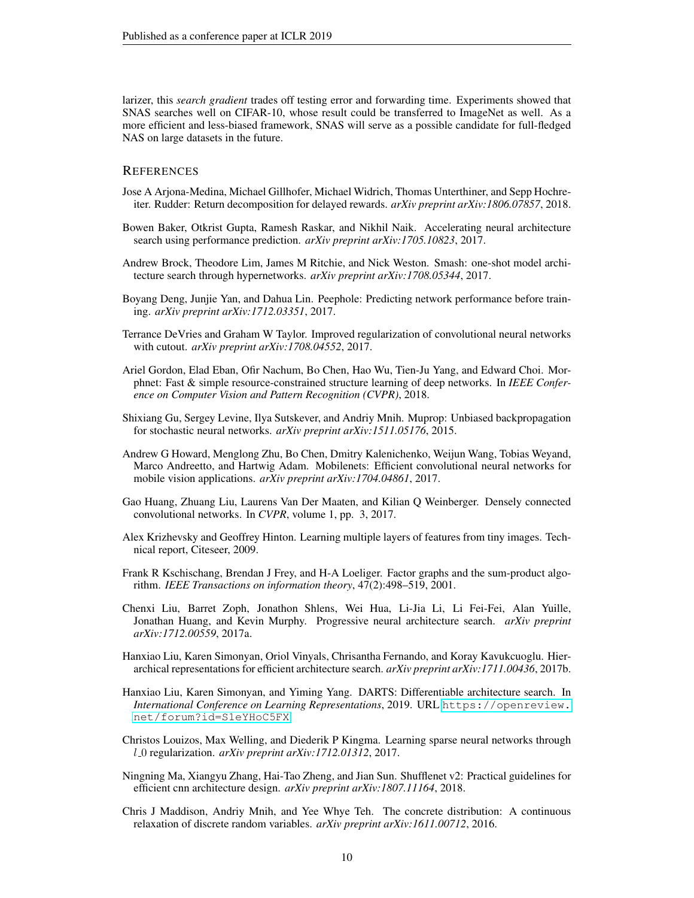larizer, this *search gradient* trades off testing error and forwarding time. Experiments showed that SNAS searches well on CIFAR-10, whose result could be transferred to ImageNet as well. As a more efficient and less-biased framework, SNAS will serve as a possible candidate for full-fledged NAS on large datasets in the future.

### **REFERENCES**

- <span id="page-9-0"></span>Jose A Arjona-Medina, Michael Gillhofer, Michael Widrich, Thomas Unterthiner, and Sepp Hochreiter. Rudder: Return decomposition for delayed rewards. *arXiv preprint arXiv:1806.07857*, 2018.
- <span id="page-9-11"></span>Bowen Baker, Otkrist Gupta, Ramesh Raskar, and Nikhil Naik. Accelerating neural architecture search using performance prediction. *arXiv preprint arXiv:1705.10823*, 2017.
- <span id="page-9-13"></span>Andrew Brock, Theodore Lim, James M Ritchie, and Nick Weston. Smash: one-shot model architecture search through hypernetworks. *arXiv preprint arXiv:1708.05344*, 2017.
- <span id="page-9-12"></span>Boyang Deng, Junjie Yan, and Dahua Lin. Peephole: Predicting network performance before training. *arXiv preprint arXiv:1712.03351*, 2017.
- <span id="page-9-16"></span>Terrance DeVries and Graham W Taylor. Improved regularization of convolutional neural networks with cutout. *arXiv preprint arXiv:1708.04552*, 2017.
- <span id="page-9-4"></span>Ariel Gordon, Elad Eban, Ofir Nachum, Bo Chen, Hao Wu, Tien-Ju Yang, and Edward Choi. Morphnet: Fast & simple resource-constrained structure learning of deep networks. In *IEEE Conference on Computer Vision and Pattern Recognition (CVPR)*, 2018.
- <span id="page-9-15"></span>Shixiang Gu, Sergey Levine, Ilya Sutskever, and Andriy Mnih. Muprop: Unbiased backpropagation for stochastic neural networks. *arXiv preprint arXiv:1511.05176*, 2015.
- <span id="page-9-10"></span>Andrew G Howard, Menglong Zhu, Bo Chen, Dmitry Kalenichenko, Weijun Wang, Tobias Weyand, Marco Andreetto, and Hartwig Adam. Mobilenets: Efficient convolutional neural networks for mobile vision applications. *arXiv preprint arXiv:1704.04861*, 2017.
- <span id="page-9-8"></span>Gao Huang, Zhuang Liu, Laurens Van Der Maaten, and Kilian Q Weinberger. Densely connected convolutional networks. In *CVPR*, volume 1, pp. 3, 2017.
- <span id="page-9-7"></span>Alex Krizhevsky and Geoffrey Hinton. Learning multiple layers of features from tiny images. Technical report, Citeseer, 2009.
- <span id="page-9-6"></span>Frank R Kschischang, Brendan J Frey, and H-A Loeliger. Factor graphs and the sum-product algorithm. *IEEE Transactions on information theory*, 47(2):498–519, 2001.
- <span id="page-9-3"></span>Chenxi Liu, Barret Zoph, Jonathon Shlens, Wei Hua, Li-Jia Li, Li Fei-Fei, Alan Yuille, Jonathan Huang, and Kevin Murphy. Progressive neural architecture search. *arXiv preprint arXiv:1712.00559*, 2017a.
- <span id="page-9-9"></span>Hanxiao Liu, Karen Simonyan, Oriol Vinyals, Chrisantha Fernando, and Koray Kavukcuoglu. Hierarchical representations for efficient architecture search. *arXiv preprint arXiv:1711.00436*, 2017b.
- <span id="page-9-1"></span>Hanxiao Liu, Karen Simonyan, and Yiming Yang. DARTS: Differentiable architecture search. In *International Conference on Learning Representations*, 2019. URL [https://openreview.](https://openreview.net/forum?id=S1eYHoC5FX) [net/forum?id=S1eYHoC5FX](https://openreview.net/forum?id=S1eYHoC5FX).
- <span id="page-9-14"></span>Christos Louizos, Max Welling, and Diederik P Kingma. Learning sparse neural networks through l 0 regularization. *arXiv preprint arXiv:1712.01312*, 2017.
- <span id="page-9-5"></span>Ningning Ma, Xiangyu Zhang, Hai-Tao Zheng, and Jian Sun. Shufflenet v2: Practical guidelines for efficient cnn architecture design. *arXiv preprint arXiv:1807.11164*, 2018.
- <span id="page-9-2"></span>Chris J Maddison, Andriy Mnih, and Yee Whye Teh. The concrete distribution: A continuous relaxation of discrete random variables. *arXiv preprint arXiv:1611.00712*, 2016.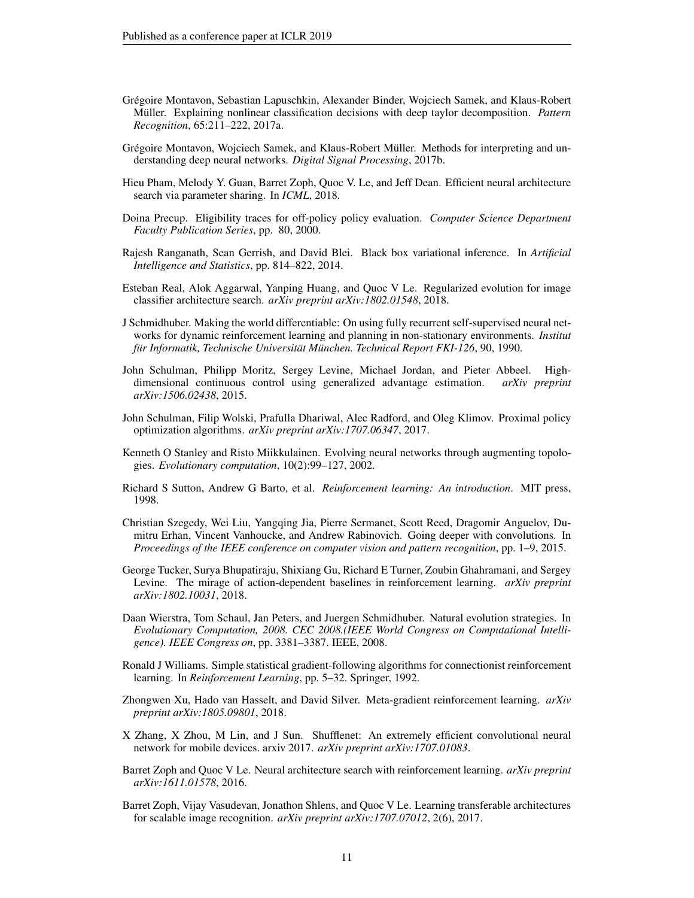- <span id="page-10-5"></span>Gregoire Montavon, Sebastian Lapuschkin, Alexander Binder, Wojciech Samek, and Klaus-Robert ´ Müller. Explaining nonlinear classification decisions with deep taylor decomposition. Pattern *Recognition*, 65:211–222, 2017a.
- <span id="page-10-18"></span>Grégoire Montavon, Wojciech Samek, and Klaus-Robert Müller. Methods for interpreting and understanding deep neural networks. *Digital Signal Processing*, 2017b.
- <span id="page-10-3"></span>Hieu Pham, Melody Y. Guan, Barret Zoph, Quoc V. Le, and Jeff Dean. Efficient neural architecture search via parameter sharing. In *ICML*, 2018.
- <span id="page-10-10"></span>Doina Precup. Eligibility traces for off-policy policy evaluation. *Computer Science Department Faculty Publication Series*, pp. 80, 2000.
- <span id="page-10-7"></span>Rajesh Ranganath, Sean Gerrish, and David Blei. Black box variational inference. In *Artificial Intelligence and Statistics*, pp. 814–822, 2014.
- <span id="page-10-2"></span>Esteban Real, Alok Aggarwal, Yanping Huang, and Quoc V Le. Regularized evolution for image classifier architecture search. *arXiv preprint arXiv:1802.01548*, 2018.
- <span id="page-10-17"></span>J Schmidhuber. Making the world differentiable: On using fully recurrent self-supervised neural networks for dynamic reinforcement learning and planning in non-stationary environments. *Institut fur Informatik, Technische Universit ¨ at M¨ unchen. Technical Report FKI-126 ¨* , 90, 1990.
- <span id="page-10-11"></span>John Schulman, Philipp Moritz, Sergey Levine, Michael Jordan, and Pieter Abbeel. Highdimensional continuous control using generalized advantage estimation. *arXiv preprint arXiv:1506.02438*, 2015.
- <span id="page-10-14"></span>John Schulman, Filip Wolski, Prafulla Dhariwal, Alec Radford, and Oleg Klimov. Proximal policy optimization algorithms. *arXiv preprint arXiv:1707.06347*, 2017.
- <span id="page-10-1"></span>Kenneth O Stanley and Risto Miikkulainen. Evolving neural networks through augmenting topologies. *Evolutionary computation*, 10(2):99–127, 2002.
- <span id="page-10-4"></span>Richard S Sutton, Andrew G Barto, et al. *Reinforcement learning: An introduction*. MIT press, 1998.
- <span id="page-10-15"></span>Christian Szegedy, Wei Liu, Yangqing Jia, Pierre Sermanet, Scott Reed, Dragomir Anguelov, Dumitru Erhan, Vincent Vanhoucke, and Andrew Rabinovich. Going deeper with convolutions. In *Proceedings of the IEEE conference on computer vision and pattern recognition*, pp. 1–9, 2015.
- <span id="page-10-12"></span>George Tucker, Surya Bhupatiraju, Shixiang Gu, Richard E Turner, Zoubin Ghahramani, and Sergey Levine. The mirage of action-dependent baselines in reinforcement learning. *arXiv preprint arXiv:1802.10031*, 2018.
- <span id="page-10-9"></span>Daan Wierstra, Tom Schaul, Jan Peters, and Juergen Schmidhuber. Natural evolution strategies. In *Evolutionary Computation, 2008. CEC 2008.(IEEE World Congress on Computational Intelligence). IEEE Congress on*, pp. 3381–3387. IEEE, 2008.
- <span id="page-10-8"></span>Ronald J Williams. Simple statistical gradient-following algorithms for connectionist reinforcement learning. In *Reinforcement Learning*, pp. 5–32. Springer, 1992.
- <span id="page-10-13"></span>Zhongwen Xu, Hado van Hasselt, and David Silver. Meta-gradient reinforcement learning. *arXiv preprint arXiv:1805.09801*, 2018.
- <span id="page-10-16"></span>X Zhang, X Zhou, M Lin, and J Sun. Shufflenet: An extremely efficient convolutional neural network for mobile devices. arxiv 2017. *arXiv preprint arXiv:1707.01083*.
- <span id="page-10-0"></span>Barret Zoph and Quoc V Le. Neural architecture search with reinforcement learning. *arXiv preprint arXiv:1611.01578*, 2016.
- <span id="page-10-6"></span>Barret Zoph, Vijay Vasudevan, Jonathon Shlens, and Quoc V Le. Learning transferable architectures for scalable image recognition. *arXiv preprint arXiv:1707.07012*, 2(6), 2017.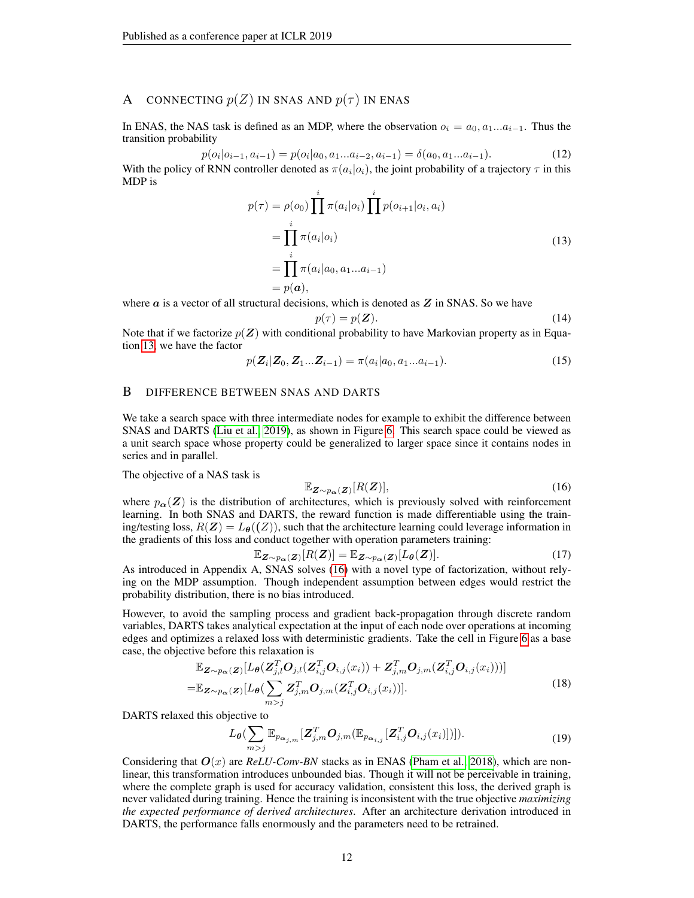# A CONNECTING  $p(Z)$  IN SNAS AND  $p(\tau)$  IN ENAS

In ENAS, the NAS task is defined as an MDP, where the observation  $o_i = a_0, a_1...a_{i-1}$ . Thus the transition probability

$$
p(o_i|o_{i-1}, a_{i-1}) = p(o_i|a_0, a_1...a_{i-2}, a_{i-1}) = \delta(a_0, a_1...a_{i-1}).
$$
\n(12)

With the policy of RNN controller denoted as  $\pi(a_i|o_i)$ , the joint probability of a trajectory  $\tau$  in this MDP is

$$
p(\tau) = \rho(o_0) \prod_{i=1}^{i} \pi(a_i|o_i) \prod_{i=1}^{i} p(o_{i+1}|o_i, a_i)
$$
  
= 
$$
\prod_{i=1}^{i} \pi(a_i|o_i)
$$
  
= 
$$
\prod_{i=1}^{i} \pi(a_i|a_0, a_1...a_{i-1})
$$
  
= 
$$
p(a),
$$
 (13)

<span id="page-11-0"></span>where  $\alpha$  is a vector of all structural decisions, which is denoted as  $Z$  in SNAS. So we have

$$
p(\tau) = p(\mathbf{Z}).\tag{14}
$$

Note that if we factorize  $p(\mathbf{Z})$  with conditional probability to have Markovian property as in Equation [13,](#page-11-0) we have the factor

$$
p(\mathbf{Z}_i|\mathbf{Z}_0,\mathbf{Z}_1...\mathbf{Z}_{i-1}) = \pi(a_i|a_0,a_1...a_{i-1}).
$$
\n(15)

### B DIFFERENCE BETWEEN SNAS AND DARTS

We take a search space with three intermediate nodes for example to exhibit the difference between SNAS and DARTS [\(Liu et al., 2019\)](#page-9-1), as shown in Figure [6.](#page-12-0) This search space could be viewed as a unit search space whose property could be generalized to larger space since it contains nodes in series and in parallel.

The objective of a NAS task is

<span id="page-11-1"></span>
$$
\mathbb{E}_{\mathbf{Z}\sim p_{\alpha}(\mathbf{Z})}[R(\mathbf{Z})],\tag{16}
$$

where  $p_{\alpha}(Z)$  is the distribution of architectures, which is previously solved with reinforcement learning. In both SNAS and DARTS, the reward function is made differentiable using the training/testing loss,  $R(Z) = L_{\theta}(Z)$ , such that the architecture learning could leverage information in the gradients of this loss and conduct together with operation parameters training:

$$
\mathbb{E}_{\mathbf{Z} \sim p_{\alpha}(\mathbf{Z})}[R(\mathbf{Z})] = \mathbb{E}_{\mathbf{Z} \sim p_{\alpha}(\mathbf{Z})}[L_{\theta}(\mathbf{Z})]. \tag{17}
$$

As introduced in Appendix A, SNAS solves [\(16\)](#page-11-1) with a novel type of factorization, without relying on the MDP assumption. Though independent assumption between edges would restrict the probability distribution, there is no bias introduced.

However, to avoid the sampling process and gradient back-propagation through discrete random variables, DARTS takes analytical expectation at the input of each node over operations at incoming edges and optimizes a relaxed loss with deterministic gradients. Take the cell in Figure [6](#page-12-0) as a base case, the objective before this relaxation is

$$
\mathbb{E}_{\mathbf{Z}\sim p_{\boldsymbol{\alpha}}(\mathbf{Z})}[L_{\boldsymbol{\theta}}(\mathbf{Z}_{j,l}^{T}\mathbf{O}_{j,l}(\mathbf{Z}_{i,j}^{T}\mathbf{O}_{i,j}(x_{i}))+\mathbf{Z}_{j,m}^{T}\mathbf{O}_{j,m}(\mathbf{Z}_{i,j}^{T}\mathbf{O}_{i,j}(x_{i})))]
$$
\n
$$
=\mathbb{E}_{\mathbf{Z}\sim p_{\boldsymbol{\alpha}}(\mathbf{Z})}[L_{\boldsymbol{\theta}}(\sum_{m>j} \mathbf{Z}_{j,m}^{T}\mathbf{O}_{j,m}(\mathbf{Z}_{i,j}^{T}\mathbf{O}_{i,j}(x_{i}))].
$$
\n(18)

DARTS relaxed this objective to

$$
L_{\boldsymbol{\theta}}(\sum_{m>j} \mathbb{E}_{p_{\boldsymbol{\alpha}_{j,m}}} [\boldsymbol{Z}_{j,m}^T \boldsymbol{O}_{j,m}(\mathbb{E}_{p_{\boldsymbol{\alpha}_{i,j}}} [\boldsymbol{Z}_{i,j}^T \boldsymbol{O}_{i,j}(x_i)])]). \qquad (19)
$$

Considering that  $O(x)$  are *ReLU-Conv-BN* stacks as in ENAS [\(Pham et al., 2018\)](#page-10-3), which are nonlinear, this transformation introduces unbounded bias. Though it will not be perceivable in training, where the complete graph is used for accuracy validation, consistent this loss, the derived graph is never validated during training. Hence the training is inconsistent with the true objective *maximizing the expected performance of derived architectures*. After an architecture derivation introduced in DARTS, the performance falls enormously and the parameters need to be retrained.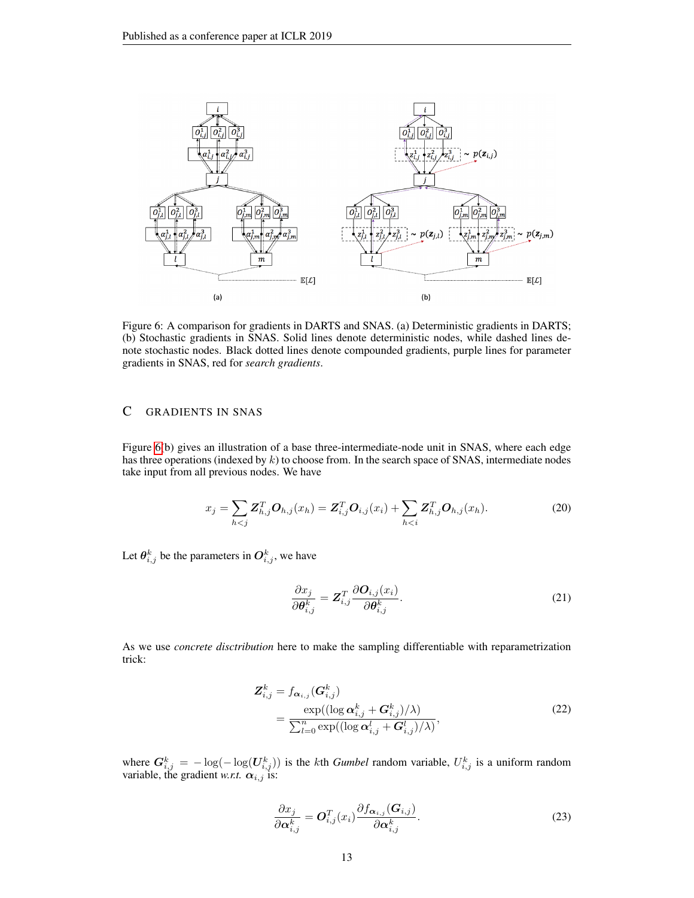

<span id="page-12-0"></span>Figure 6: A comparison for gradients in DARTS and SNAS. (a) Deterministic gradients in DARTS; (b) Stochastic gradients in SNAS. Solid lines denote deterministic nodes, while dashed lines denote stochastic nodes. Black dotted lines denote compounded gradients, purple lines for parameter gradients in SNAS, red for *search gradients*.

# C GRADIENTS IN SNAS

Figure [6\(](#page-12-0)b) gives an illustration of a base three-intermediate-node unit in SNAS, where each edge has three operations (indexed by  $k$ ) to choose from. In the search space of SNAS, intermediate nodes take input from all previous nodes. We have

$$
x_j = \sum_{h < j} \mathbf{Z}_{h,j}^T \mathbf{O}_{h,j}(x_h) = \mathbf{Z}_{i,j}^T \mathbf{O}_{i,j}(x_i) + \sum_{h < i} \mathbf{Z}_{h,j}^T \mathbf{O}_{h,j}(x_h). \tag{20}
$$

Let  $\theta_{i,j}^k$  be the parameters in  $O_{i,j}^k$ , we have

$$
\frac{\partial x_j}{\partial \theta_{i,j}^k} = Z_{i,j}^T \frac{\partial O_{i,j}(x_i)}{\partial \theta_{i,j}^k}.
$$
\n(21)

As we use *concrete disctribution* here to make the sampling differentiable with reparametrization trick:

$$
Z_{i,j}^k = f_{\boldsymbol{\alpha}_{i,j}}(\boldsymbol{G}_{i,j}^k)
$$
  
= 
$$
\frac{\exp((\log \boldsymbol{\alpha}_{i,j}^k + \boldsymbol{G}_{i,j}^k)/\lambda)}{\sum_{l=0}^n \exp((\log \boldsymbol{\alpha}_{i,j}^l + \boldsymbol{G}_{i,j}^l)/\lambda)},
$$
 (22)

where  $G_{i,j}^k = -\log(-\log(U_{i,j}^k))$  is the kth *Gumbel* random variable,  $U_{i,j}^k$  is a uniform random variable, the gradient *w.r.t.*  $\alpha_{i,j}$  is:

<span id="page-12-1"></span>
$$
\frac{\partial x_j}{\partial \alpha_{i,j}^k} = \mathbf{O}_{i,j}^T(x_i) \frac{\partial f_{\alpha_{i,j}}(\mathbf{G}_{i,j})}{\partial \alpha_{i,j}^k}.
$$
\n(23)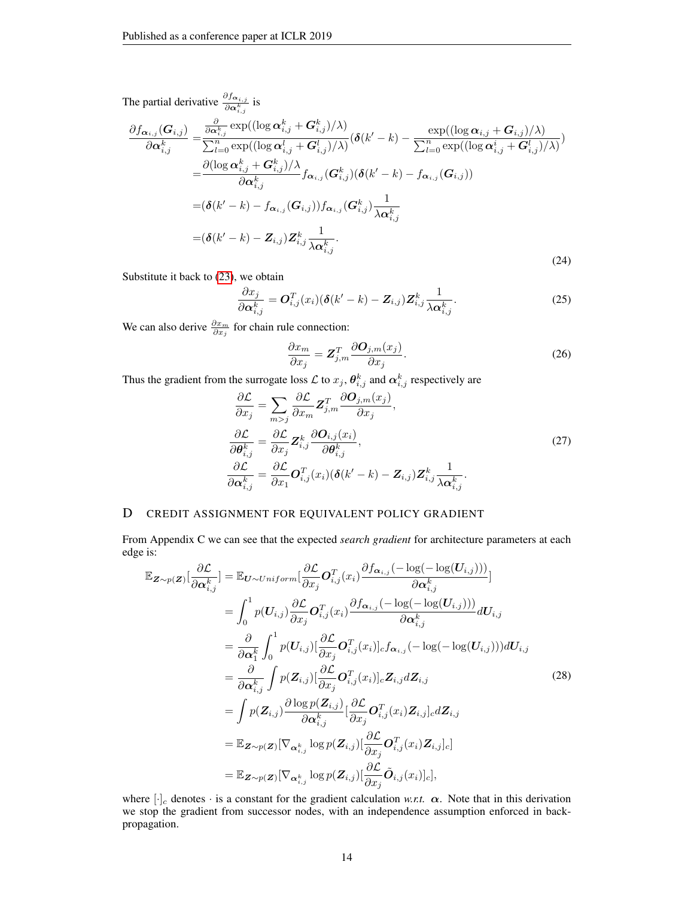The partial derivative  $\frac{\partial f_{\alpha_{i,j}}}{\partial \alpha_{i,j}^k}$  is

$$
\frac{\partial f_{\boldsymbol{\alpha}_{i,j}}(\boldsymbol{G}_{i,j})}{\partial \boldsymbol{\alpha}_{i,j}^k} = \frac{\frac{\partial}{\partial \boldsymbol{\alpha}_{i,j}^k} \exp((\log \boldsymbol{\alpha}_{i,j}^k + \boldsymbol{G}_{i,j}^k)/\lambda)}{\sum_{l=0}^n \exp((\log \boldsymbol{\alpha}_{i,j}^l + \boldsymbol{G}_{i,j}^l)/\lambda)} (\boldsymbol{\delta}(k'-k) - \frac{\exp((\log \boldsymbol{\alpha}_{i,j}^k + \boldsymbol{G}_{i,j}^l)/\lambda)}{\sum_{l=0}^n \exp((\log \boldsymbol{\alpha}_{i,j}^i + \boldsymbol{G}_{i,j}^l)/\lambda)})
$$
\n
$$
= \frac{\partial (\log \boldsymbol{\alpha}_{i,j}^k + \boldsymbol{G}_{i,j}^k)/\lambda}{\partial \boldsymbol{\alpha}_{i,j}^k} f_{\boldsymbol{\alpha}_{i,j}}(\boldsymbol{G}_{i,j}^k) (\boldsymbol{\delta}(k'-k) - f_{\boldsymbol{\alpha}_{i,j}}(\boldsymbol{G}_{i,j}))
$$
\n
$$
= (\boldsymbol{\delta}(k'-k) - f_{\boldsymbol{\alpha}_{i,j}}(\boldsymbol{G}_{i,j})) f_{\boldsymbol{\alpha}_{i,j}}(\boldsymbol{G}_{i,j}^k) \frac{1}{\lambda \boldsymbol{\alpha}_{i,j}^k}
$$
\n
$$
= (\boldsymbol{\delta}(k'-k) - \boldsymbol{Z}_{i,j}) \boldsymbol{Z}_{i,j}^k \frac{1}{\lambda \boldsymbol{\alpha}_{i,j}^k}.
$$
\n(24)

Substitute it back to [\(23\)](#page-12-1), we obtain

$$
\frac{\partial x_j}{\partial \alpha_{i,j}^k} = \mathbf{O}_{i,j}^T(x_i) (\boldsymbol{\delta}(k'-k) - \mathbf{Z}_{i,j}) \mathbf{Z}_{i,j}^k \frac{1}{\lambda \alpha_{i,j}^k}.
$$
\n(25)

We can also derive  $\frac{\partial x_m}{\partial x_j}$  for chain rule connection:

$$
\frac{\partial x_m}{\partial x_j} = \mathbf{Z}_{j,m}^T \frac{\partial \mathbf{O}_{j,m}(x_j)}{\partial x_j}.
$$
\n(26)

Thus the gradient from the surrogate loss  $\mathcal L$  to  $x_j$ ,  $\theta_{i,j}^k$  and  $\alpha_{i,j}^k$  respectively are

$$
\frac{\partial \mathcal{L}}{\partial x_j} = \sum_{m>j} \frac{\partial \mathcal{L}}{\partial x_m} \mathbf{Z}_{j,m}^T \frac{\partial \mathbf{O}_{j,m}(x_j)}{\partial x_j},
$$
\n
$$
\frac{\partial \mathcal{L}}{\partial \boldsymbol{\theta}_{i,j}^k} = \frac{\partial \mathcal{L}}{\partial x_j} \mathbf{Z}_{i,j}^k \frac{\partial \mathbf{O}_{i,j}(x_i)}{\partial \boldsymbol{\theta}_{i,j}^k},
$$
\n
$$
\frac{\partial \mathcal{L}}{\partial \boldsymbol{\alpha}_{i,j}^k} = \frac{\partial \mathcal{L}}{\partial x_1} \mathbf{O}_{i,j}^T(x_i) (\boldsymbol{\delta}(k'-k) - \mathbf{Z}_{i,j}) \mathbf{Z}_{i,j}^k \frac{1}{\lambda \boldsymbol{\alpha}_{i,j}^k}.
$$
\n(27)

## D CREDIT ASSIGNMENT FOR EQUIVALENT POLICY GRADIENT

From Appendix C we can see that the expected *search gradient* for architecture parameters at each edge is:

$$
\mathbb{E}_{\mathbf{Z} \sim p(\mathbf{Z})}[\frac{\partial \mathcal{L}}{\partial \alpha_{i,j}^{k}}] = \mathbb{E}_{\mathbf{U} \sim Uniform}[\frac{\partial \mathcal{L}}{\partial x_{j}} \mathbf{O}_{i,j}^{T}(x_{i}) \frac{\partial f_{\alpha_{i,j}}(-\log(-\log(\mathbf{U}_{i,j})))}{\partial \alpha_{i,j}^{k}}]
$$
\n
$$
= \int_{0}^{1} p(\mathbf{U}_{i,j}) \frac{\partial \mathcal{L}}{\partial x_{j}} \mathbf{O}_{i,j}^{T}(x_{i}) \frac{\partial f_{\alpha_{i,j}}(-\log(-\log(\mathbf{U}_{i,j})))}{\partial \alpha_{i,j}^{k}} d\mathbf{U}_{i,j}
$$
\n
$$
= \frac{\partial}{\partial \alpha_{1}^{k}} \int_{0}^{1} p(\mathbf{U}_{i,j}) [\frac{\partial \mathcal{L}}{\partial x_{j}} \mathbf{O}_{i,j}^{T}(x_{i})]_{c} f_{\alpha_{i,j}}(-\log(-\log(\mathbf{U}_{i,j}))) d\mathbf{U}_{i,j}
$$
\n
$$
= \frac{\partial}{\partial \alpha_{i,j}^{k}} \int p(\mathbf{Z}_{i,j}) [\frac{\partial \mathcal{L}}{\partial x_{j}} \mathbf{O}_{i,j}^{T}(x_{i})]_{c} \mathbf{Z}_{i,j} d\mathbf{Z}_{i,j}
$$
\n
$$
= \int p(\mathbf{Z}_{i,j}) \frac{\partial \log p(\mathbf{Z}_{i,j})}{\partial \alpha_{i,j}^{k}} [\frac{\partial \mathcal{L}}{\partial x_{j}} \mathbf{O}_{i,j}^{T}(x_{i}) \mathbf{Z}_{i,j}]_{c} d\mathbf{Z}_{i,j}
$$
\n
$$
= \mathbb{E}_{\mathbf{Z} \sim p(\mathbf{Z})}[\nabla_{\alpha_{i,j}^{k}} \log p(\mathbf{Z}_{i,j}) [\frac{\partial \mathcal{L}}{\partial x_{j}} \mathbf{O}_{i,j}^{T}(x_{i}) \mathbf{Z}_{i,j}]_{c}]
$$
\n
$$
= \mathbb{E}_{\mathbf{Z} \sim p(\mathbf{Z})}[\nabla_{\alpha_{i,j}^{k}} \log p(\mathbf{Z}_{i,j}) [\frac{\partial \mathcal{L}}{\partial x_{j}} \mathbf{O}_{i,j}^{T}(x_{i})]_{c}],
$$
\n(28)

where  $[\cdot]_c$  denotes  $\cdot$  is a constant for the gradient calculation *w.r.t.*  $\alpha$ . Note that in this derivation we stop the gradient from successor nodes, with an independence assumption enforced in backpropagation.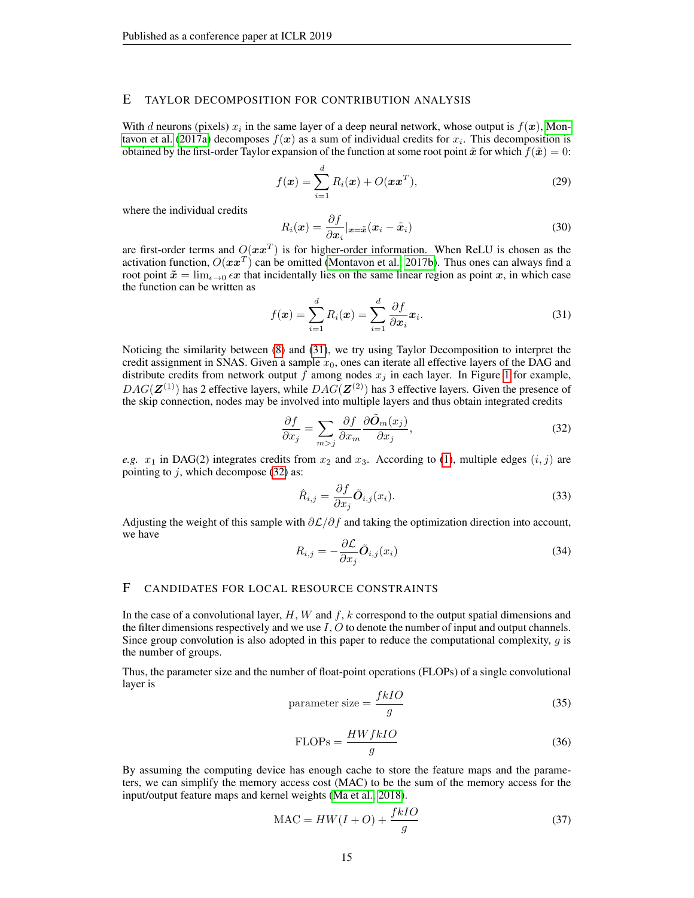### E TAYLOR DECOMPOSITION FOR CONTRIBUTION ANALYSIS

With d neurons (pixels)  $x_i$  in the same layer of a deep neural network, whose output is  $f(x)$ , [Mon](#page-10-5)[tavon et al.](#page-10-5) [\(2017a\)](#page-10-5) decomposes  $f(x)$  as a sum of individual credits for  $x_i$ . This decomposition is obtained by the first-order Taylor expansion of the function at some root point  $\tilde{x}$  for which  $f(\tilde{x}) = 0$ :

$$
f(\boldsymbol{x}) = \sum_{i=1}^{d} R_i(\boldsymbol{x}) + O(\boldsymbol{x}\boldsymbol{x}^T),
$$
\n(29)

where the individual credits

$$
R_i(\boldsymbol{x}) = \frac{\partial f}{\partial \boldsymbol{x}_i} |_{\boldsymbol{x} = \tilde{\boldsymbol{x}}} (\boldsymbol{x}_i - \tilde{\boldsymbol{x}}_i)
$$
(30)

are first-order terms and  $O(x x^T)$  is for higher-order information. When ReLU is chosen as the activation function,  $O(\bm x \bm x^T)$  can be omitted [\(Montavon et al., 2017b\)](#page-10-18). Thus ones can always find a root point  $\tilde{x} = \lim_{\epsilon \to 0} \epsilon x$  that incidentally lies on the same linear region as point x, in which case the function can be written as

<span id="page-14-0"></span>
$$
f(\boldsymbol{x}) = \sum_{i=1}^{d} R_i(\boldsymbol{x}) = \sum_{i=1}^{d} \frac{\partial f}{\partial \boldsymbol{x}_i} \boldsymbol{x}_i.
$$
 (31)

Noticing the similarity between [\(8\)](#page-3-0) and [\(31\)](#page-14-0), we try using Taylor Decomposition to interpret the credit assignment in SNAS. Given a sample  $x<sub>0</sub>$ , ones can iterate all effective layers of the DAG and distribute credits from network output f among nodes  $x_j$  in each layer. In Figure [1](#page-1-0) for example,  $DAG(\mathbf{Z}^{(1)})$  has 2 effective layers, while  $DAG(\mathbf{Z}^{(2)})$  has 3 effective layers. Given the presence of the skip connection, nodes may be involved into multiple layers and thus obtain integrated credits

<span id="page-14-1"></span>
$$
\frac{\partial f}{\partial x_j} = \sum_{m > j} \frac{\partial f}{\partial x_m} \frac{\partial \tilde{O}_m(x_j)}{\partial x_j},\tag{32}
$$

*e.g.*  $x_1$  in DAG(2) integrates credits from  $x_2$  and  $x_3$ . According to [\(1\)](#page-2-1), multiple edges  $(i, j)$  are pointing to  $j$ , which decompose [\(32\)](#page-14-1) as:

$$
\hat{R}_{i,j} = \frac{\partial f}{\partial x_j} \tilde{O}_{i,j}(x_i). \tag{33}
$$

Adjusting the weight of this sample with  $\partial \mathcal{L}/\partial f$  and taking the optimization direction into account, we have

$$
R_{i,j} = -\frac{\partial \mathcal{L}}{\partial x_j} \tilde{\mathbf{O}}_{i,j}(x_i)
$$
\n(34)

### F CANDIDATES FOR LOCAL RESOURCE CONSTRAINTS

In the case of a convolutional layer,  $H$ ,  $W$  and  $f$ ,  $k$  correspond to the output spatial dimensions and the filter dimensions respectively and we use  $I, O$  to denote the number of input and output channels. Since group convolution is also adopted in this paper to reduce the computational complexity,  $q$  is the number of groups.

Thus, the parameter size and the number of float-point operations (FLOPs) of a single convolutional layer is

$$
parameter size = \frac{fkIO}{g}
$$
 (35)

$$
FLOPs = \frac{HWfkIO}{g}
$$
 (36)

By assuming the computing device has enough cache to store the feature maps and the parameters, we can simplify the memory access cost (MAC) to be the sum of the memory access for the input/output feature maps and kernel weights [\(Ma et al., 2018\)](#page-9-5).

$$
MAC = HW(I + O) + \frac{fkIO}{g}
$$
\n(37)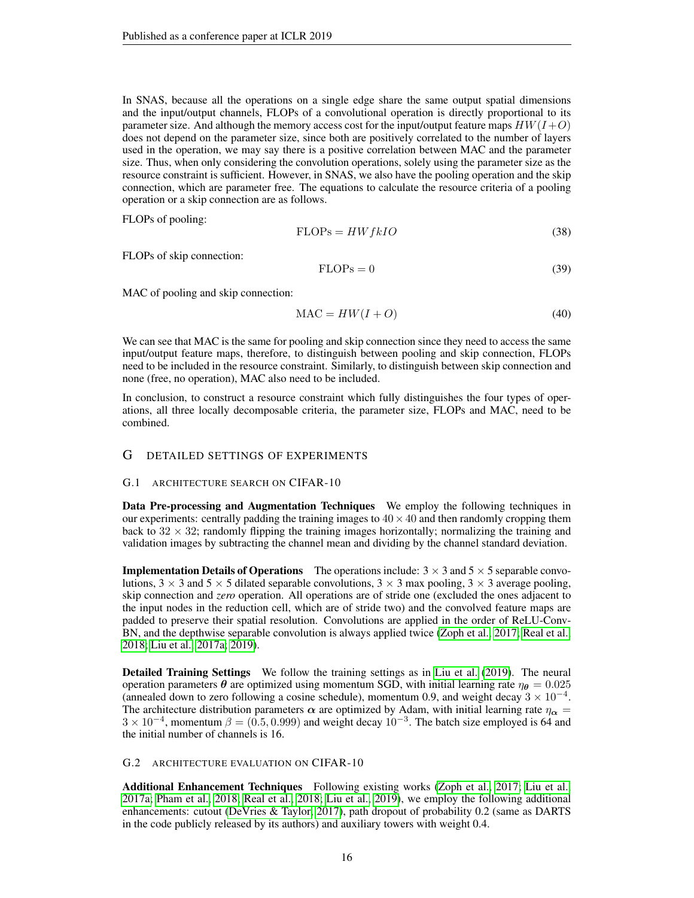In SNAS, because all the operations on a single edge share the same output spatial dimensions and the input/output channels, FLOPs of a convolutional operation is directly proportional to its parameter size. And although the memory access cost for the input/output feature maps  $HW(I+O)$ does not depend on the parameter size, since both are positively correlated to the number of layers used in the operation, we may say there is a positive correlation between MAC and the parameter size. Thus, when only considering the convolution operations, solely using the parameter size as the resource constraint is sufficient. However, in SNAS, we also have the pooling operation and the skip connection, which are parameter free. The equations to calculate the resource criteria of a pooling operation or a skip connection are as follows.

FLOPs of pooling:

$$
FLOPs = HWf kIO
$$
\n(38)

FLOPs of skip connection:

$$
FLOPs = 0 \tag{39}
$$

MAC of pooling and skip connection:

$$
MAC = HW(I + O)
$$
\n(40)

We can see that MAC is the same for pooling and skip connection since they need to access the same input/output feature maps, therefore, to distinguish between pooling and skip connection, FLOPs need to be included in the resource constraint. Similarly, to distinguish between skip connection and none (free, no operation), MAC also need to be included.

In conclusion, to construct a resource constraint which fully distinguishes the four types of operations, all three locally decomposable criteria, the parameter size, FLOPs and MAC, need to be combined.

### G DETAILED SETTINGS OF EXPERIMENTS

#### G.1 ARCHITECTURE SEARCH ON CIFAR-10

Data Pre-processing and Augmentation Techniques We employ the following techniques in our experiments: centrally padding the training images to  $40 \times 40$  and then randomly cropping them back to  $32 \times 32$ ; randomly flipping the training images horizontally; normalizing the training and validation images by subtracting the channel mean and dividing by the channel standard deviation.

**Implementation Details of Operations** The operations include:  $3 \times 3$  and  $5 \times 5$  separable convolutions,  $3 \times 3$  and  $5 \times 5$  dilated separable convolutions,  $3 \times 3$  max pooling,  $3 \times 3$  average pooling, skip connection and *zero* operation. All operations are of stride one (excluded the ones adjacent to the input nodes in the reduction cell, which are of stride two) and the convolved feature maps are padded to preserve their spatial resolution. Convolutions are applied in the order of ReLU-Conv-BN, and the depthwise separable convolution is always applied twice [\(Zoph et al., 2017;](#page-10-6) [Real et al.,](#page-10-2) [2018;](#page-10-2) [Liu et al., 2017a;](#page-9-3) [2019\)](#page-9-1).

Detailed Training Settings We follow the training settings as in [Liu et al.](#page-9-1) [\(2019\)](#page-9-1). The neural operation parameters  $\theta$  are optimized using momentum SGD, with initial learning rate  $\eta_{\theta} = 0.025$ (annealed down to zero following a cosine schedule), momentum 0.9, and weight decay  $3 \times 10^{-4}$ . The architecture distribution parameters  $\alpha$  are optimized by Adam, with initial learning rate  $\eta_{\alpha}$  =  $3 \times 10^{-4}$ , momentum  $\beta = (0.5, 0.999)$  and weight decay  $10^{-3}$ . The batch size employed is 64 and the initial number of channels is 16.

### G.2 ARCHITECTURE EVALUATION ON CIFAR-10

Additional Enhancement Techniques Following existing works [\(Zoph et al., 2017;](#page-10-6) [Liu et al.,](#page-9-3) [2017a;](#page-9-3) [Pham et al., 2018;](#page-10-3) [Real et al., 2018;](#page-10-2) [Liu et al., 2019\)](#page-9-1), we employ the following additional enhancements: cutout [\(DeVries & Taylor, 2017\)](#page-9-16), path dropout of probability 0.2 (same as DARTS in the code publicly released by its authors) and auxiliary towers with weight 0.4.